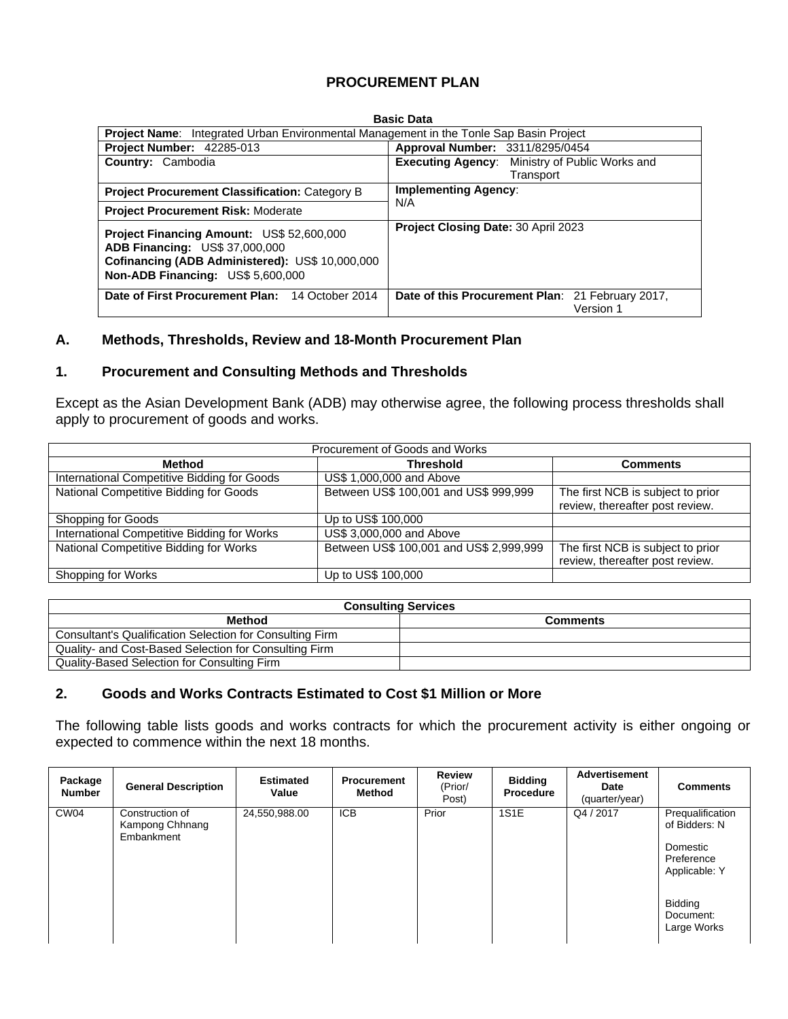## **PROCUREMENT PLAN**

| <b>Project Name:</b> Integrated Urban Environmental Management in the Tonle Sap Basin Project                                                                              |                                                               |  |  |  |  |
|----------------------------------------------------------------------------------------------------------------------------------------------------------------------------|---------------------------------------------------------------|--|--|--|--|
| <b>Project Number: 42285-013</b>                                                                                                                                           | Approval Number: 3311/8295/0454                               |  |  |  |  |
| <b>Country: Cambodia</b>                                                                                                                                                   | Executing Agency: Ministry of Public Works and                |  |  |  |  |
|                                                                                                                                                                            | Transport                                                     |  |  |  |  |
| <b>Project Procurement Classification: Category B</b>                                                                                                                      | <b>Implementing Agency:</b>                                   |  |  |  |  |
| <b>Project Procurement Risk: Moderate</b>                                                                                                                                  | N/A                                                           |  |  |  |  |
| Project Financing Amount: US\$ 52,600,000<br><b>ADB Financing: US\$ 37,000,000</b><br>Cofinancing (ADB Administered): US\$ 10,000,000<br>Non-ADB Financing: US\$ 5,600,000 | Project Closing Date: 30 April 2023                           |  |  |  |  |
| Date of First Procurement Plan: 14 October 2014                                                                                                                            | Date of this Procurement Plan: 21 February 2017,<br>Version 1 |  |  |  |  |
|                                                                                                                                                                            |                                                               |  |  |  |  |

### **A. Methods, Thresholds, Review and 18-Month Procurement Plan**

### **1. Procurement and Consulting Methods and Thresholds**

Except as the Asian Development Bank (ADB) may otherwise agree, the following process thresholds shall apply to procurement of goods and works.

| Procurement of Goods and Works              |                                         |                                   |  |  |  |  |  |  |  |  |
|---------------------------------------------|-----------------------------------------|-----------------------------------|--|--|--|--|--|--|--|--|
| Method                                      | <b>Threshold</b>                        | <b>Comments</b>                   |  |  |  |  |  |  |  |  |
| International Competitive Bidding for Goods | US\$ 1,000,000 and Above                |                                   |  |  |  |  |  |  |  |  |
| National Competitive Bidding for Goods      | Between US\$ 100,001 and US\$ 999,999   | The first NCB is subject to prior |  |  |  |  |  |  |  |  |
|                                             |                                         | review, thereafter post review.   |  |  |  |  |  |  |  |  |
| Shopping for Goods                          | Up to US\$ 100,000                      |                                   |  |  |  |  |  |  |  |  |
| International Competitive Bidding for Works | US\$ 3,000,000 and Above                |                                   |  |  |  |  |  |  |  |  |
| National Competitive Bidding for Works      | Between US\$ 100,001 and US\$ 2,999,999 | The first NCB is subject to prior |  |  |  |  |  |  |  |  |
|                                             |                                         | review, thereafter post review.   |  |  |  |  |  |  |  |  |
| Shopping for Works                          | Up to US\$ 100,000                      |                                   |  |  |  |  |  |  |  |  |

| <b>Consulting Services</b>                                      |                 |  |  |  |  |  |  |  |
|-----------------------------------------------------------------|-----------------|--|--|--|--|--|--|--|
| Method                                                          | <b>Comments</b> |  |  |  |  |  |  |  |
| <b>Consultant's Qualification Selection for Consulting Firm</b> |                 |  |  |  |  |  |  |  |
| Quality- and Cost-Based Selection for Consulting Firm           |                 |  |  |  |  |  |  |  |
| Quality-Based Selection for Consulting Firm                     |                 |  |  |  |  |  |  |  |

## **2. Goods and Works Contracts Estimated to Cost \$1 Million or More**

The following table lists goods and works contracts for which the procurement activity is either ongoing or expected to commence within the next 18 months.

| Package<br><b>Number</b> | <b>General Description</b>                       | <b>Estimated</b><br>Value | <b>Procurement</b><br><b>Method</b> | <b>Review</b><br>(Prior/<br>Post) | <b>Bidding</b><br><b>Procedure</b> | <b>Advertisement</b><br>Date<br>(quarter/year) | <b>Comments</b>                                                              |
|--------------------------|--------------------------------------------------|---------------------------|-------------------------------------|-----------------------------------|------------------------------------|------------------------------------------------|------------------------------------------------------------------------------|
| CW <sub>04</sub>         | Construction of<br>Kampong Chhnang<br>Embankment | 24,550,988.00             | <b>ICB</b>                          | Prior                             | 1S1E                               | Q4 / 2017                                      | Prequalification<br>of Bidders: N<br>Domestic<br>Preference<br>Applicable: Y |
|                          |                                                  |                           |                                     |                                   |                                    |                                                | Bidding<br>Document:<br>Large Works                                          |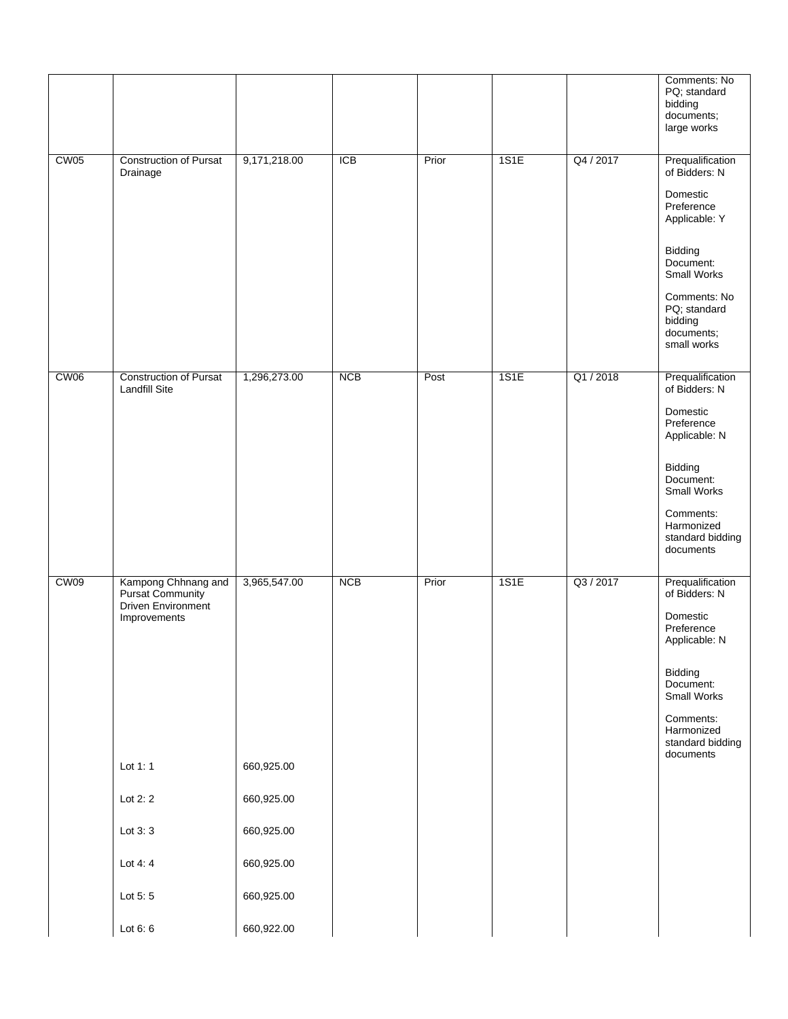|                  |                                                                                                                     |                                                        |            |       |      |           | Comments: No<br>PQ; standard<br>bidding<br>documents;<br>large works                                                                                                                        |
|------------------|---------------------------------------------------------------------------------------------------------------------|--------------------------------------------------------|------------|-------|------|-----------|---------------------------------------------------------------------------------------------------------------------------------------------------------------------------------------------|
| CW <sub>05</sub> | <b>Construction of Pursat</b><br>Drainage                                                                           | 9,171,218.00                                           | <b>ICB</b> | Prior | 1S1E | Q4 / 2017 | Prequalification<br>of Bidders: N<br>Domestic<br>Preference<br>Applicable: Y<br>Bidding<br>Document:<br>Small Works<br>Comments: No<br>PQ; standard<br>bidding<br>documents;<br>small works |
| CW <sub>06</sub> | <b>Construction of Pursat</b><br><b>Landfill Site</b>                                                               | 1,296,273.00                                           | <b>NCB</b> | Post  | 1S1E | Q1 / 2018 | Prequalification<br>of Bidders: N<br>Domestic<br>Preference<br>Applicable: N<br>Bidding<br>Document:<br>Small Works<br>Comments:<br>Harmonized<br>standard bidding<br>documents             |
| CW <sub>09</sub> | Kampong Chhnang and<br>Pursat Community<br>Driven Environment<br>Improvements<br>Lot 1: 1<br>Lot $2:2$<br>Lot $3:3$ | 3,965,547.00<br>660,925.00<br>660,925.00<br>660,925.00 | <b>NCB</b> | Prior | 1S1E | Q3 / 2017 | Prequalification<br>of Bidders: N<br>Domestic<br>Preference<br>Applicable: N<br>Bidding<br>Document:<br>Small Works<br>Comments:<br>Harmonized<br>standard bidding<br>documents             |
|                  | Lot 4:4<br>Lot 5:5                                                                                                  | 660,925.00<br>660,925.00                               |            |       |      |           |                                                                                                                                                                                             |
|                  | Lot $6:6$                                                                                                           | 660,922.00                                             |            |       |      |           |                                                                                                                                                                                             |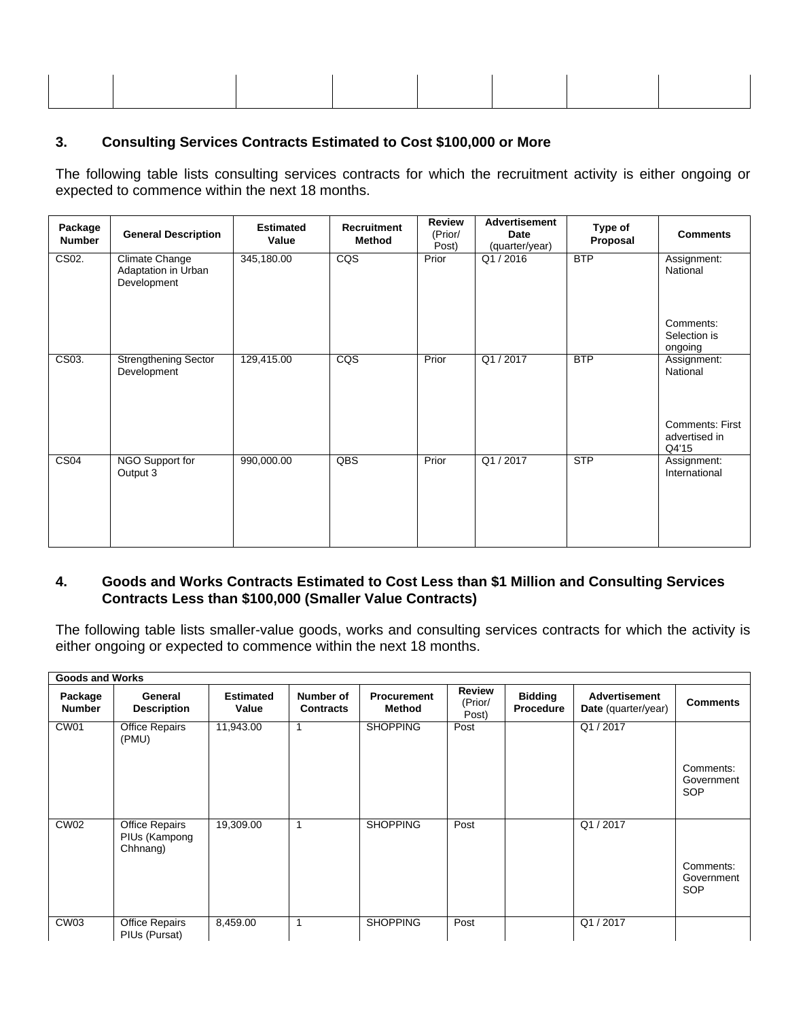## **3. Consulting Services Contracts Estimated to Cost \$100,000 or More**

The following table lists consulting services contracts for which the recruitment activity is either ongoing or expected to commence within the next 18 months.

| Package<br><b>Number</b> | <b>General Description</b>                           | <b>Estimated</b><br>Value | <b>Recruitment</b><br>Method | <b>Review</b><br>(Prior/<br>Post) | <b>Advertisement</b><br>Date<br>(quarter/year) | Type of<br>Proposal | <b>Comments</b>                                  |
|--------------------------|------------------------------------------------------|---------------------------|------------------------------|-----------------------------------|------------------------------------------------|---------------------|--------------------------------------------------|
| CS02.                    | Climate Change<br>Adaptation in Urban<br>Development | 345,180.00                | CQS                          | Prior                             | Q1/2016                                        | <b>BTP</b>          | Assignment:<br>National                          |
|                          |                                                      |                           |                              |                                   |                                                |                     | Comments:<br>Selection is<br>ongoing             |
| CS03.                    | <b>Strengthening Sector</b><br>Development           | 129,415.00                | $\overline{CQS}$             | Prior                             | Q1/2017                                        | <b>BTP</b>          | Assignment:<br>National                          |
|                          |                                                      |                           |                              |                                   |                                                |                     | <b>Comments: First</b><br>advertised in<br>Q4'15 |
| CS <sub>04</sub>         | NGO Support for<br>Output 3                          | 990,000.00                | QBS                          | Prior                             | Q1/2017                                        | <b>STP</b>          | Assignment:<br>International                     |

## **4. Goods and Works Contracts Estimated to Cost Less than \$1 Million and Consulting Services Contracts Less than \$100,000 (Smaller Value Contracts)**

The following table lists smaller-value goods, works and consulting services contracts for which the activity is either ongoing or expected to commence within the next 18 months.

| <b>Goods and Works</b>   |                                                    |                           |                               |                              |                                   |                                    |                                             |                                       |
|--------------------------|----------------------------------------------------|---------------------------|-------------------------------|------------------------------|-----------------------------------|------------------------------------|---------------------------------------------|---------------------------------------|
| Package<br><b>Number</b> | General<br><b>Description</b>                      | <b>Estimated</b><br>Value | Number of<br><b>Contracts</b> | <b>Procurement</b><br>Method | <b>Review</b><br>(Prior/<br>Post) | <b>Bidding</b><br><b>Procedure</b> | <b>Advertisement</b><br>Date (quarter/year) | <b>Comments</b>                       |
| CW <sub>01</sub>         | <b>Office Repairs</b><br>(PMU)                     | 11,943.00                 | 1                             | <b>SHOPPING</b>              | Post                              |                                    | Q1/2017                                     | Comments:<br>Government<br>SOP        |
| CW02                     | <b>Office Repairs</b><br>PIUs (Kampong<br>Chhnang) | 19,309.00                 | 1                             | <b>SHOPPING</b>              | Post                              |                                    | Q1/2017                                     | Comments:<br>Government<br><b>SOP</b> |
| CW03                     | <b>Office Repairs</b><br>PIUs (Pursat)             | 8,459.00                  | 1                             | <b>SHOPPING</b>              | Post                              |                                    | Q1/2017                                     |                                       |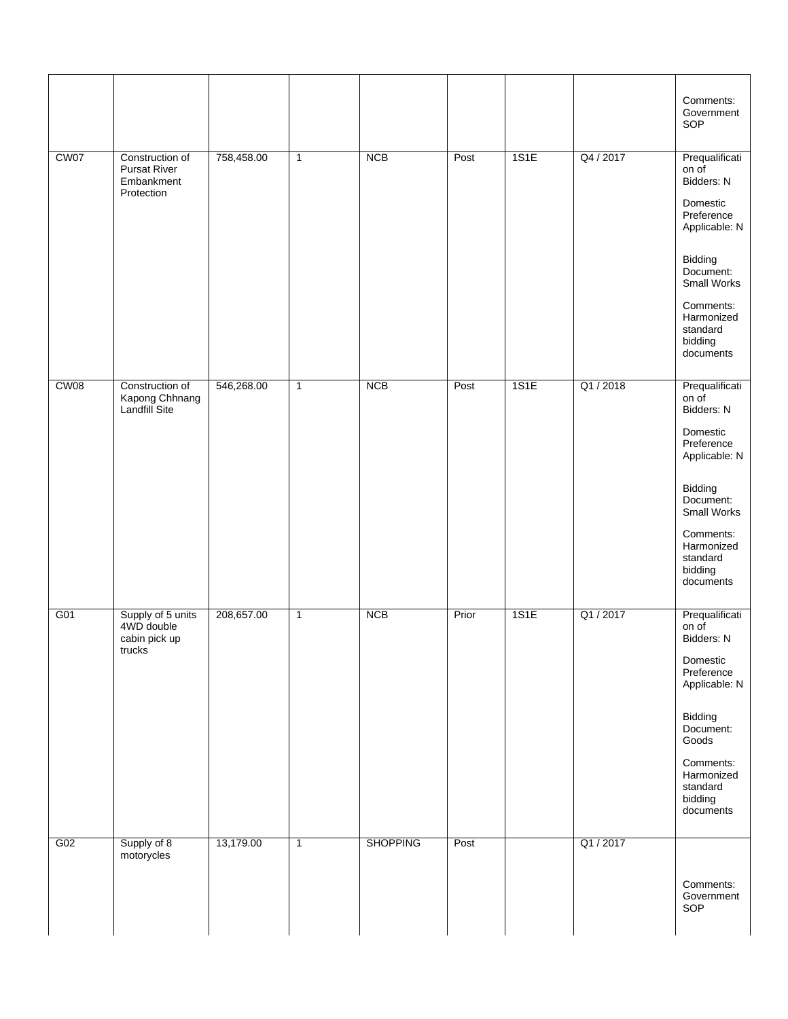|                  |                                                                    |            |              |                 |       |      |           | Comments:<br>Government<br>SOP                                                                                                                                                         |
|------------------|--------------------------------------------------------------------|------------|--------------|-----------------|-------|------|-----------|----------------------------------------------------------------------------------------------------------------------------------------------------------------------------------------|
| CW07             | Construction of<br><b>Pursat River</b><br>Embankment<br>Protection | 758,458.00 | $\mathbf{1}$ | <b>NCB</b>      | Post  | 1S1E | Q4 / 2017 | Prequalificati<br>on of<br>Bidders: N<br>Domestic<br>Preference<br>Applicable: N<br>Bidding<br>Document:<br>Small Works<br>Comments:<br>Harmonized<br>standard<br>bidding<br>documents |
| CW <sub>08</sub> | Construction of<br>Kapong Chhnang<br>Landfill Site                 | 546,268.00 | $\mathbf{1}$ | <b>NCB</b>      | Post  | 1S1E | Q1 / 2018 | Prequalificati<br>on of<br>Bidders: N<br>Domestic<br>Preference<br>Applicable: N<br>Bidding<br>Document:<br>Small Works<br>Comments:<br>Harmonized<br>standard<br>bidding<br>documents |
| G01              | Supply of 5 units<br>4WD double<br>cabin pick up<br>trucks         | 208,657.00 | $\mathbf{1}$ | <b>NCB</b>      | Prior | 1S1E | Q1 / 2017 | Prequalificati<br>on of<br>Bidders: N<br>Domestic<br>Preference<br>Applicable: N<br>Bidding<br>Document:<br>Goods<br>Comments:<br>Harmonized<br>standard<br>bidding<br>documents       |
| G02              | Supply of 8<br>motorycles                                          | 13,179.00  | $\mathbf{1}$ | <b>SHOPPING</b> | Post  |      | Q1/2017   | Comments:<br>Government<br>SOP                                                                                                                                                         |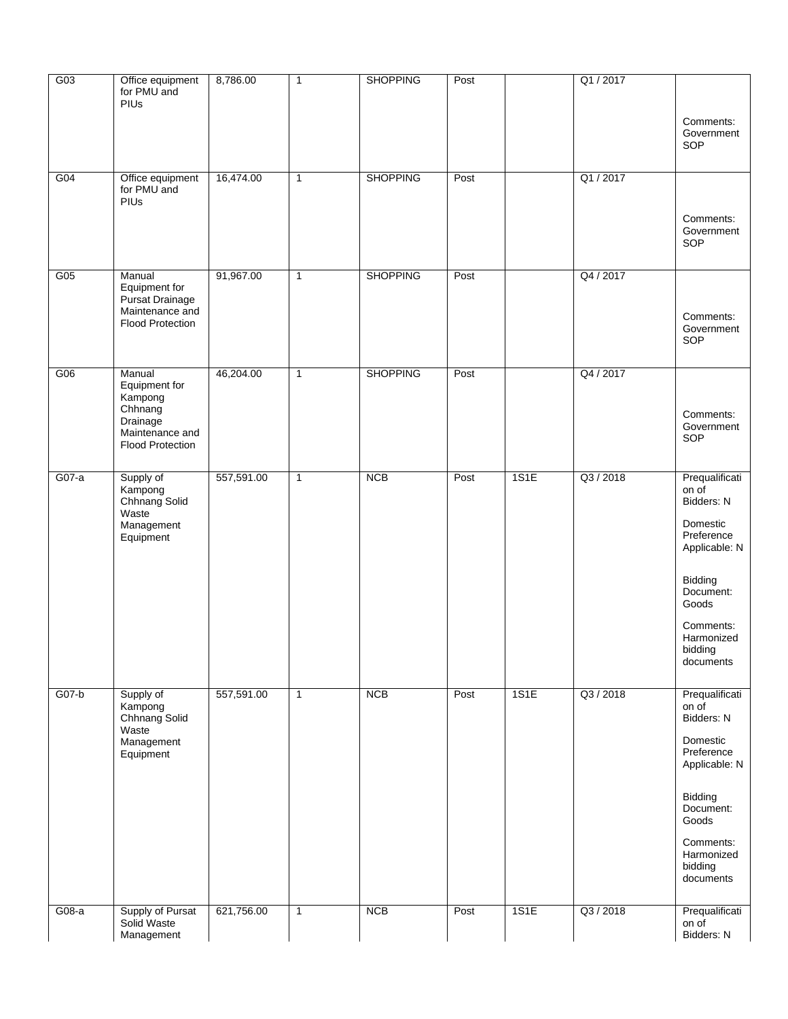| G03     | Office equipment<br>for PMU and<br>PIUs                | 8,786.00   | $\mathbf{1}$ | <b>SHOPPING</b> | Post |      | Q1 / 2017 | Comments:                                       |
|---------|--------------------------------------------------------|------------|--------------|-----------------|------|------|-----------|-------------------------------------------------|
|         |                                                        |            |              |                 |      |      |           | Government<br>SOP                               |
| G04     | Office equipment<br>for PMU and<br>PIUS                | 16,474.00  | $\mathbf{1}$ | <b>SHOPPING</b> | Post |      | Q1 / 2017 | Comments:                                       |
|         |                                                        |            |              |                 |      |      |           | Government<br>SOP                               |
| G05     | Manual<br>Equipment for<br>Pursat Drainage             | 91,967.00  | $\mathbf{1}$ | <b>SHOPPING</b> | Post |      | Q4 / 2017 |                                                 |
|         | Maintenance and<br><b>Flood Protection</b>             |            |              |                 |      |      |           | Comments:<br>Government<br>SOP                  |
| G06     | Manual<br>Equipment for<br>Kampong<br>Chhnang          | 46,204.00  | $\mathbf{1}$ | <b>SHOPPING</b> | Post |      | Q4 / 2017 | Comments:                                       |
|         | Drainage<br>Maintenance and<br><b>Flood Protection</b> |            |              |                 |      |      |           | Government<br>SOP                               |
| $G07-a$ | Supply of<br>Kampong<br>Chhnang Solid<br>Waste         | 557,591.00 | $\mathbf{1}$ | <b>NCB</b>      | Post | 1S1E | Q3 / 2018 | Prequalificati<br>on of<br>Bidders: N           |
|         | Management<br>Equipment                                |            |              |                 |      |      |           | Domestic<br>Preference<br>Applicable: N         |
|         |                                                        |            |              |                 |      |      |           | Bidding<br>Document:<br>Goods                   |
|         |                                                        |            |              |                 |      |      |           | Comments:<br>Harmonized<br>bidding<br>documents |
| $G07-b$ | Supply of<br>Kampong<br>Chhnang Solid                  | 557,591.00 | $\mathbf{1}$ | <b>NCB</b>      | Post | 1S1E | Q3 / 2018 | Prequalificati<br>on of<br>Bidders: N           |
|         | Waste<br>Management<br>Equipment                       |            |              |                 |      |      |           | Domestic<br>Preference<br>Applicable: N         |
|         |                                                        |            |              |                 |      |      |           | Bidding<br>Document:<br>Goods                   |
|         |                                                        |            |              |                 |      |      |           | Comments:<br>Harmonized<br>bidding<br>documents |
| $G08-a$ | Supply of Pursat<br>Solid Waste<br>Management          | 621,756.00 | $\mathbf{1}$ | <b>NCB</b>      | Post | 1S1E | Q3 / 2018 | Prequalificati<br>on of<br>Bidders: N           |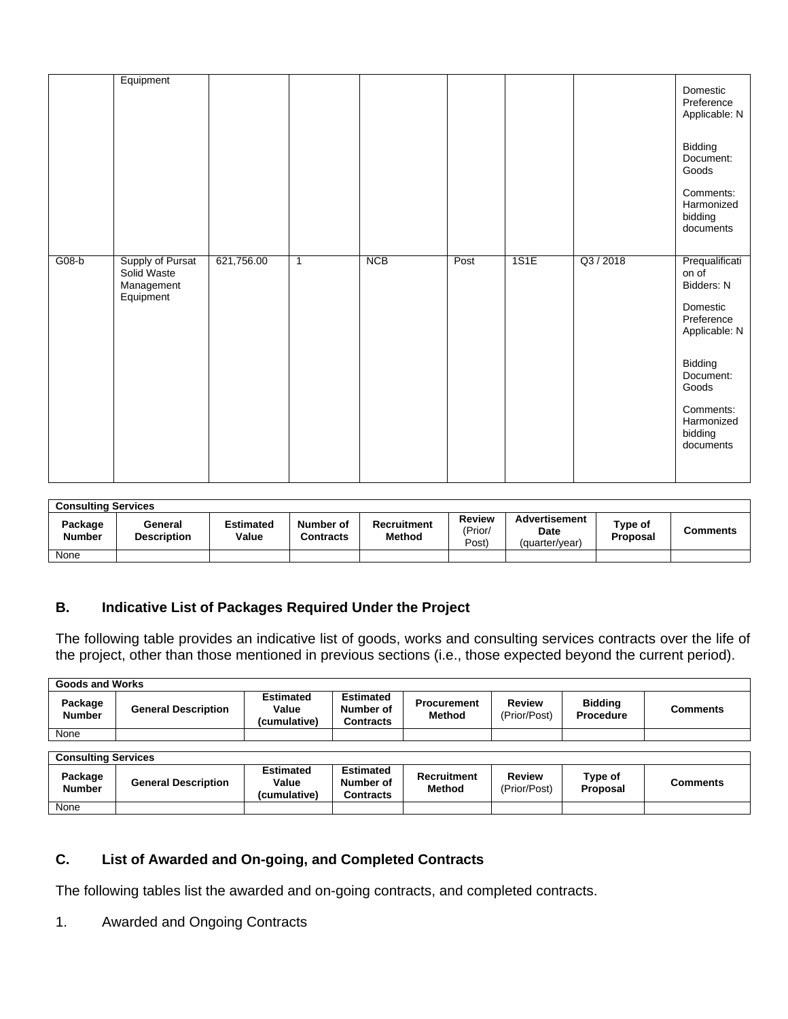|         | Equipment                                     |            |              |            |      |      |           | Domestic<br>Preference                          |
|---------|-----------------------------------------------|------------|--------------|------------|------|------|-----------|-------------------------------------------------|
|         |                                               |            |              |            |      |      |           | Applicable: N                                   |
|         |                                               |            |              |            |      |      |           | Bidding<br>Document:<br>Goods                   |
|         |                                               |            |              |            |      |      |           | Comments:<br>Harmonized<br>bidding<br>documents |
| $G08-b$ | Supply of Pursat<br>Solid Waste<br>Management | 621,756.00 | $\mathbf{1}$ | <b>NCB</b> | Post | 1S1E | Q3 / 2018 | Prequalificati<br>on of<br>Bidders: N           |
|         | Equipment                                     |            |              |            |      |      |           | Domestic<br>Preference<br>Applicable: N         |
|         |                                               |            |              |            |      |      |           | Bidding<br>Document:<br>Goods                   |
|         |                                               |            |              |            |      |      |           | Comments:<br>Harmonized<br>bidding<br>documents |
|         |                                               |            |              |            |      |      |           |                                                 |

| <b>Consulting Services</b> |                               |                    |                               |                              |                            |                                                       |                     |          |  |
|----------------------------|-------------------------------|--------------------|-------------------------------|------------------------------|----------------------------|-------------------------------------------------------|---------------------|----------|--|
| Package<br><b>Number</b>   | General<br><b>Description</b> | Estimated<br>Value | Number of<br><b>Contracts</b> | <b>Recruitment</b><br>Method | Review<br>'Prior/<br>Post) | <b>Advertisement</b><br><b>Date</b><br>(quarter/vear) | Type of<br>Proposal | Comments |  |
| None                       |                               |                    |                               |                              |                            |                                                       |                     |          |  |

## **B. Indicative List of Packages Required Under the Project**

The following table provides an indicative list of goods, works and consulting services contracts over the life of the project, other than those mentioned in previous sections (i.e., those expected beyond the current period).

| <b>Goods and Works</b>     |                            |                                           |                                                   |                                     |                               |                                    |                 |
|----------------------------|----------------------------|-------------------------------------------|---------------------------------------------------|-------------------------------------|-------------------------------|------------------------------------|-----------------|
| Package<br><b>Number</b>   | <b>General Description</b> | <b>Estimated</b><br>Value<br>(cumulative) | <b>Estimated</b><br>Number of<br><b>Contracts</b> | <b>Procurement</b><br><b>Method</b> | <b>Review</b><br>(Prior/Post) | <b>Bidding</b><br><b>Procedure</b> | <b>Comments</b> |
| None                       |                            |                                           |                                                   |                                     |                               |                                    |                 |
|                            |                            |                                           |                                                   |                                     |                               |                                    |                 |
| <b>Consulting Services</b> |                            |                                           |                                                   |                                     |                               |                                    |                 |
| Package<br><b>Number</b>   | <b>General Description</b> | <b>Estimated</b><br>Value<br>(cumulative) | <b>Estimated</b><br>Number of<br><b>Contracts</b> | <b>Recruitment</b><br><b>Method</b> | <b>Review</b><br>(Prior/Post) | Type of<br>Proposal                | <b>Comments</b> |
| None                       |                            |                                           |                                                   |                                     |                               |                                    |                 |

# **C. List of Awarded and On-going, and Completed Contracts**

The following tables list the awarded and on-going contracts, and completed contracts.

## 1. Awarded and Ongoing Contracts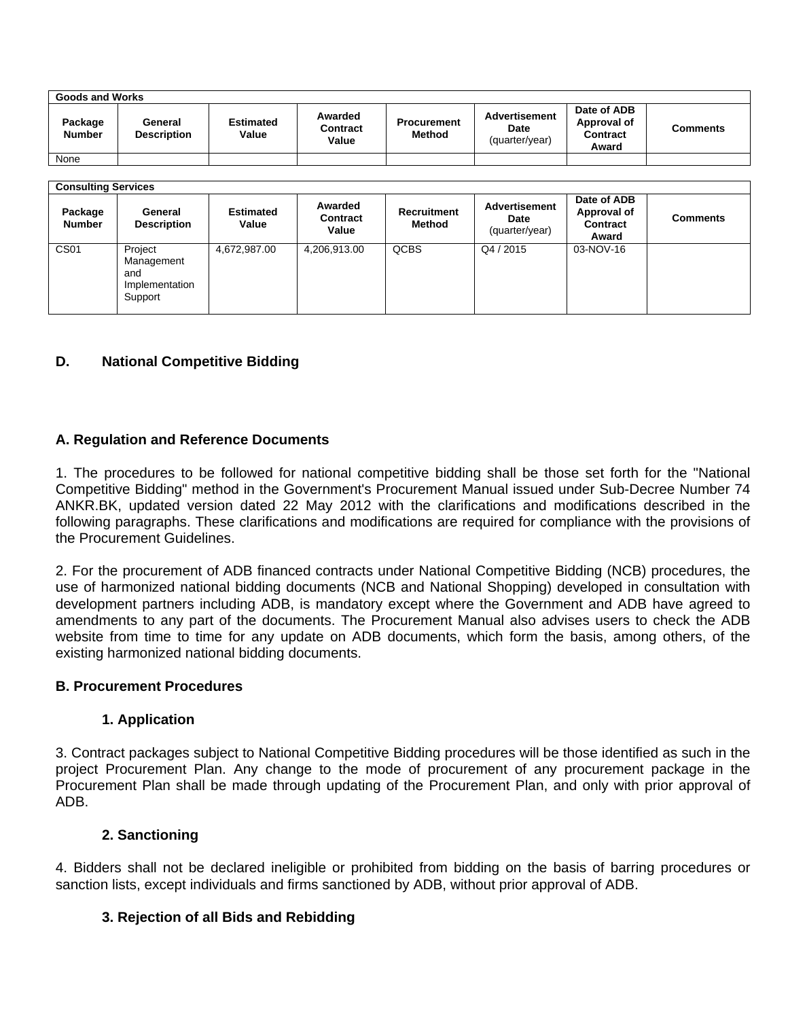| <b>Goods and Works</b>   |                               |                           |                                     |                              |                                         |                                                        |          |  |
|--------------------------|-------------------------------|---------------------------|-------------------------------------|------------------------------|-----------------------------------------|--------------------------------------------------------|----------|--|
| Package<br><b>Number</b> | General<br><b>Description</b> | <b>Estimated</b><br>Value | Awarded<br><b>Contract</b><br>Value | <b>Procurement</b><br>Method | Advertisement<br>Date<br>(quarter/year) | Date of ADB<br>Approval of<br><b>Contract</b><br>Award | Comments |  |
| None                     |                               |                           |                                     |                              |                                         |                                                        |          |  |

| <b>Consulting Services</b> |                                                           |                           |                                     |                       |                                         |                                                 |                 |  |
|----------------------------|-----------------------------------------------------------|---------------------------|-------------------------------------|-----------------------|-----------------------------------------|-------------------------------------------------|-----------------|--|
| Package<br><b>Number</b>   | General<br><b>Description</b>                             | <b>Estimated</b><br>Value | Awarded<br><b>Contract</b><br>Value | Recruitment<br>Method | Advertisement<br>Date<br>(quarter/year) | Date of ADB<br>Approval of<br>Contract<br>Award | <b>Comments</b> |  |
| CS <sub>01</sub>           | Project<br>Management<br>and<br>Implementation<br>Support | 4,672,987.00              | 4,206,913.00                        | <b>QCBS</b>           | Q4 / 2015                               | 03-NOV-16                                       |                 |  |

## **D. National Competitive Bidding**

## **A. Regulation and Reference Documents**

1. The procedures to be followed for national competitive bidding shall be those set forth for the "National Competitive Bidding" method in the Government's Procurement Manual issued under Sub-Decree Number 74 ANKR.BK, updated version dated 22 May 2012 with the clarifications and modifications described in the following paragraphs. These clarifications and modifications are required for compliance with the provisions of the Procurement Guidelines.

2. For the procurement of ADB financed contracts under National Competitive Bidding (NCB) procedures, the use of harmonized national bidding documents (NCB and National Shopping) developed in consultation with development partners including ADB, is mandatory except where the Government and ADB have agreed to amendments to any part of the documents. The Procurement Manual also advises users to check the ADB website from time to time for any update on ADB documents, which form the basis, among others, of the existing harmonized national bidding documents.

#### **B. Procurement Procedures**

#### **1. Application**

3. Contract packages subject to National Competitive Bidding procedures will be those identified as such in the project Procurement Plan. Any change to the mode of procurement of any procurement package in the Procurement Plan shall be made through updating of the Procurement Plan, and only with prior approval of ADB.

## **2. Sanctioning**

4. Bidders shall not be declared ineligible or prohibited from bidding on the basis of barring procedures or sanction lists, except individuals and firms sanctioned by ADB, without prior approval of ADB.

## **3. Rejection of all Bids and Rebidding**